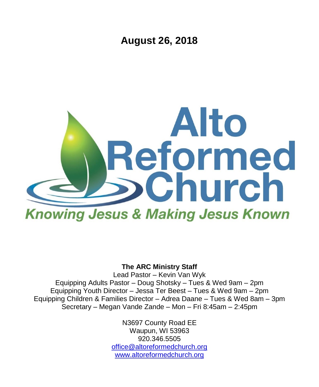**August 26, 2018**



#### **The ARC Ministry Staff**

Lead Pastor – Kevin Van Wyk Equipping Adults Pastor – Doug Shotsky – Tues & Wed 9am – 2pm Equipping Youth Director – Jessa Ter Beest – Tues & Wed 9am – 2pm Equipping Children & Families Director – Adrea Daane – Tues & Wed 8am – 3pm Secretary – Megan Vande Zande – Mon – Fri 8:45am – 2:45pm

> N3697 County Road EE Waupun, WI 53963 920.346.5505 [office@altoreformedchurch.org](mailto:office@altoreformedchurch.org) [www.altoreformedchurch.org](http://www.altoreformedchurch.org/)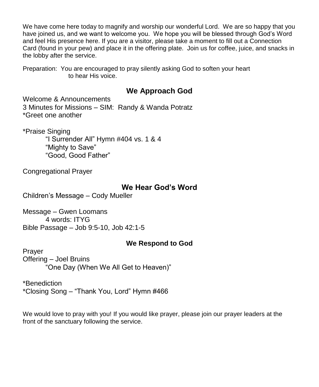We have come here today to magnify and worship our wonderful Lord. We are so happy that you have joined us, and we want to welcome you. We hope you will be blessed through God's Word and feel His presence here. If you are a visitor, please take a moment to fill out a Connection Card (found in your pew) and place it in the offering plate. Join us for coffee, juice, and snacks in the lobby after the service.

Preparation: You are encouraged to pray silently asking God to soften your heart to hear His voice.

### **We Approach God**

Welcome & Announcements 3 Minutes for Missions – SIM: Randy & Wanda Potratz \*Greet one another

\*Praise Singing

"I Surrender All" Hymn #404 vs. 1 & 4 "Mighty to Save" "Good, Good Father"

Congregational Prayer

### **We Hear God's Word**

Children's Message – Cody Mueller

Message – Gwen Loomans 4 words: ITYG Bible Passage – Job 9:5-10, Job 42:1-5

### **We Respond to God**

Prayer Offering – Joel Bruins "One Day (When We All Get to Heaven)"

\*Benediction \*Closing Song – "Thank You, Lord" Hymn #466

We would love to pray with you! If you would like prayer, please join our prayer leaders at the front of the sanctuary following the service.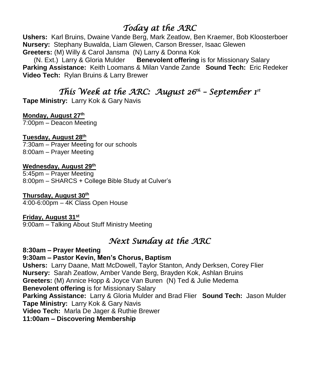# *Today at the ARC*

**Ushers:** Karl Bruins, Dwaine Vande Berg, Mark Zeatlow, Ben Kraemer, Bob Kloosterboer **Nursery:** Stephany Buwalda, Liam Glewen, Carson Bresser, Isaac Glewen **Greeters:** (M) Willy & Carol Jansma (N) Larry & Donna Kok

 (N. Ext.) Larry & Gloria Mulder **Benevolent offering** is for Missionary Salary **Parking Assistance:** Keith Loomans & Milan Vande Zande **Sound Tech:** Eric Redeker **Video Tech:** Rylan Bruins & Larry Brewer

# *This Week at the ARC: August 26<sup>th</sup> – September 1<sup>st</sup>*

**Tape Ministry:** Larry Kok & Gary Navis

#### **Monday, August 27th**

7:00pm – Deacon Meeting

#### **Tuesday, August 28th**

7:30am – Prayer Meeting for our schools 8:00am – Prayer Meeting

#### **Wednesday, August 29th**

5:45pm – Prayer Meeting 8:00pm – SHARCS + College Bible Study at Culver's

#### **Thursday, August 30th**

4:00-6:00pm – 4K Class Open House

#### **Friday, August 31st**

9:00am – Talking About Stuff Ministry Meeting

### *Next Sunday at the ARC*

**8:30am – Prayer Meeting 9:30am – Pastor Kevin, Men's Chorus, Baptism Ushers:** Larry Daane, Matt McDowell, Taylor Stanton, Andy Derksen, Corey Flier **Nursery:** Sarah Zeatlow, Amber Vande Berg, Brayden Kok, Ashlan Bruins **Greeters:** (M) Annice Hopp & Joyce Van Buren (N) Ted & Julie Medema **Benevolent offering** is for Missionary Salary **Parking Assistance:** Larry & Gloria Mulder and Brad Flier **Sound Tech:** Jason Mulder **Tape Ministry:** Larry Kok & Gary Navis **Video Tech:** Marla De Jager & Ruthie Brewer **11:00am – Discovering Membership**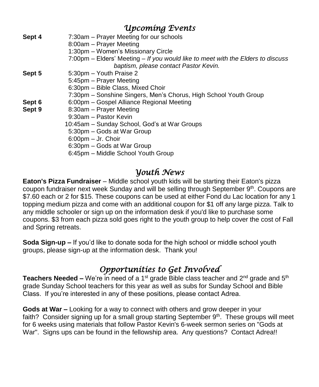| Upcoming Events |                                                                                 |
|-----------------|---------------------------------------------------------------------------------|
| Sept 4          | 7:30am - Prayer Meeting for our schools                                         |
|                 | 8:00am - Prayer Meeting                                                         |
|                 | 1:30pm – Women's Missionary Circle                                              |
|                 | 7:00pm – Elders' Meeting – If you would like to meet with the Elders to discuss |
|                 | baptism, please contact Pastor Kevin.                                           |
| Sept 5          | 5:30pm – Youth Praise 2                                                         |
|                 | 5:45pm - Prayer Meeting                                                         |
|                 | 6:30pm - Bible Class, Mixed Choir                                               |
|                 | 7:30pm – Sonshine Singers, Men's Chorus, High School Youth Group                |
| Sept 6          | 6:00pm - Gospel Alliance Regional Meeting                                       |
| Sept 9          | 8:30am - Prayer Meeting                                                         |
|                 | 9:30am - Pastor Kevin                                                           |
|                 | 10:45am - Sunday School, God's at War Groups                                    |
|                 | 5:30pm - Gods at War Group                                                      |
|                 | $6:00$ pm $-$ Jr. Choir                                                         |
|                 | 6:30pm - Gods at War Group                                                      |
|                 | 6:45pm - Middle School Youth Group                                              |
|                 |                                                                                 |

### *Youth News*

**Eaton's Pizza Fundraiser** – Middle school youth kids will be starting their Eaton's pizza coupon fundraiser next week Sunday and will be selling through September 9<sup>th</sup>. Coupons are \$7.60 each or 2 for \$15. These coupons can be used at either Fond du Lac location for any 1 topping medium pizza and come with an additional coupon for \$1 off any large pizza. Talk to any middle schooler or sign up on the information desk if you'd like to purchase some coupons. \$3 from each pizza sold goes right to the youth group to help cover the cost of Fall and Spring retreats.

**Soda Sign-up –** If you'd like to donate soda for the high school or middle school youth groups, please sign-up at the information desk. Thank you!

# *Opportunities to Get Involved*

**Teachers Needed –** We're in need of a 1<sup>st</sup> grade Bible class teacher and 2<sup>nd</sup> grade and 5<sup>th</sup> grade Sunday School teachers for this year as well as subs for Sunday School and Bible Class. If you're interested in any of these positions, please contact Adrea.

**Gods at War –** Looking for a way to connect with others and grow deeper in your faith? Consider signing up for a small group starting September 9<sup>th</sup>. These groups will meet for 6 weeks using materials that follow Pastor Kevin's 6-week sermon series on "Gods at War". Signs ups can be found in the fellowship area. Any questions? Contact Adrea!!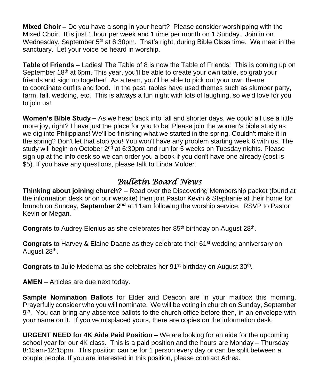**Mixed Choir –** Do you have a song in your heart? Please consider worshipping with the Mixed Choir. It is just 1 hour per week and 1 time per month on 1 Sunday. Join in on Wednesday, September  $5<sup>th</sup>$  at 6:30pm. That's right, during Bible Class time. We meet in the sanctuary. Let your voice be heard in worship.

**Table of Friends –** Ladies! The Table of 8 is now the Table of Friends! This is coming up on September 18<sup>th</sup> at 6pm. This year, you'll be able to create your own table, so grab your friends and sign up together! As a team, you'll be able to pick out your own theme to coordinate outfits and food. In the past, tables have used themes such as slumber party, farm, fall, wedding, etc. This is always a fun night with lots of laughing, so we'd love for you to join us!

**Women's Bible Study –** As we head back into fall and shorter days, we could all use a little more joy, right? I have just the place for you to be! Please join the women's bible study as we dig into Philippians! We'll be finishing what we started in the spring. Couldn't make it in the spring? Don't let that stop you! You won't have any problem starting week 6 with us. The study will begin on October  $2<sup>nd</sup>$  at 6:30pm and run for 5 weeks on Tuesday nights. Please sign up at the info desk so we can order you a book if you don't have one already (cost is \$5). If you have any questions, please talk to Linda Mulder.

## *Bulletin Board News*

**Thinking about joining church?** – Read over the Discovering Membership packet (found at the information desk or on our website) then join Pastor Kevin & Stephanie at their home for brunch on Sunday, **September 2<sup>nd</sup> at 11am following the worship service. RSVP to Pastor** Kevin or Megan.

Congrats to Audrey Elenius as she celebrates her 85<sup>th</sup> birthday on August 28<sup>th</sup>.

**Congrats** to Harvey & Elaine Daane as they celebrate their 61<sup>st</sup> wedding anniversary on August 28<sup>th</sup>.

Congrats to Julie Medema as she celebrates her 91<sup>st</sup> birthday on August 30<sup>th</sup>.

**AMEN** – Articles are due next today.

**Sample Nomination Ballots** for Elder and Deacon are in your mailbox this morning. Prayerfully consider who you will nominate. We will be voting in church on Sunday, September 9<sup>th</sup>. You can bring any absentee ballots to the church office before then, in an envelope with your name on it. If you've misplaced yours, there are copies on the information desk.

**URGENT NEED for 4K Aide Paid Position** – We are looking for an aide for the upcoming school year for our 4K class. This is a paid position and the hours are Monday – Thursday 8:15am-12:15pm. This position can be for 1 person every day or can be split between a couple people. If you are interested in this position, please contract Adrea.